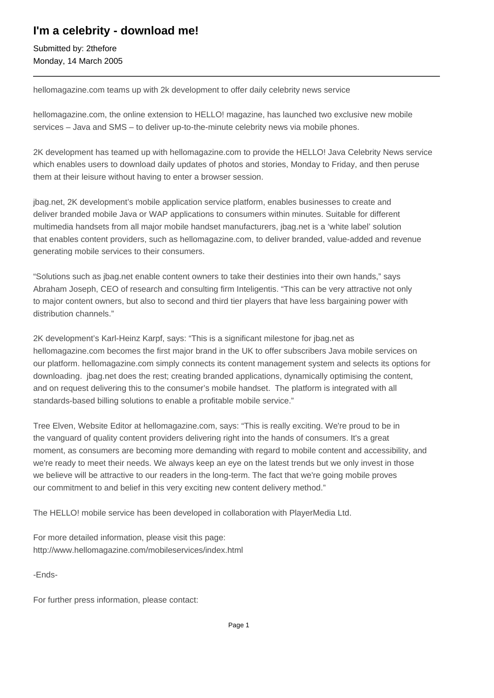## **I'm a celebrity - download me!**

Submitted by: 2thefore Monday, 14 March 2005

hellomagazine.com teams up with 2k development to offer daily celebrity news service

hellomagazine.com, the online extension to HELLO! magazine, has launched two exclusive new mobile services – Java and SMS – to deliver up-to-the-minute celebrity news via mobile phones.

2K development has teamed up with hellomagazine.com to provide the HELLO! Java Celebrity News service which enables users to download daily updates of photos and stories, Monday to Friday, and then peruse them at their leisure without having to enter a browser session.

jbag.net, 2K development's mobile application service platform, enables businesses to create and deliver branded mobile Java or WAP applications to consumers within minutes. Suitable for different multimedia handsets from all major mobile handset manufacturers, jbag.net is a 'white label' solution that enables content providers, such as hellomagazine.com, to deliver branded, value-added and revenue generating mobile services to their consumers.

"Solutions such as jbag.net enable content owners to take their destinies into their own hands," says Abraham Joseph, CEO of research and consulting firm Inteligentis. "This can be very attractive not only to major content owners, but also to second and third tier players that have less bargaining power with distribution channels."

2K development's Karl-Heinz Karpf, says: "This is a significant milestone for jbag.net as hellomagazine.com becomes the first major brand in the UK to offer subscribers Java mobile services on our platform. hellomagazine.com simply connects its content management system and selects its options for downloading. jbag.net does the rest; creating branded applications, dynamically optimising the content, and on request delivering this to the consumer's mobile handset. The platform is integrated with all standards-based billing solutions to enable a profitable mobile service."

Tree Elven, Website Editor at hellomagazine.com, says: "This is really exciting. We're proud to be in the vanguard of quality content providers delivering right into the hands of consumers. It's a great moment, as consumers are becoming more demanding with regard to mobile content and accessibility, and we're ready to meet their needs. We always keep an eye on the latest trends but we only invest in those we believe will be attractive to our readers in the long-term. The fact that we're going mobile proves our commitment to and belief in this very exciting new content delivery method."

The HELLO! mobile service has been developed in collaboration with PlayerMedia Ltd.

For more detailed information, please visit this page: http://www.hellomagazine.com/mobileservices/index.html

-Ends-

For further press information, please contact: